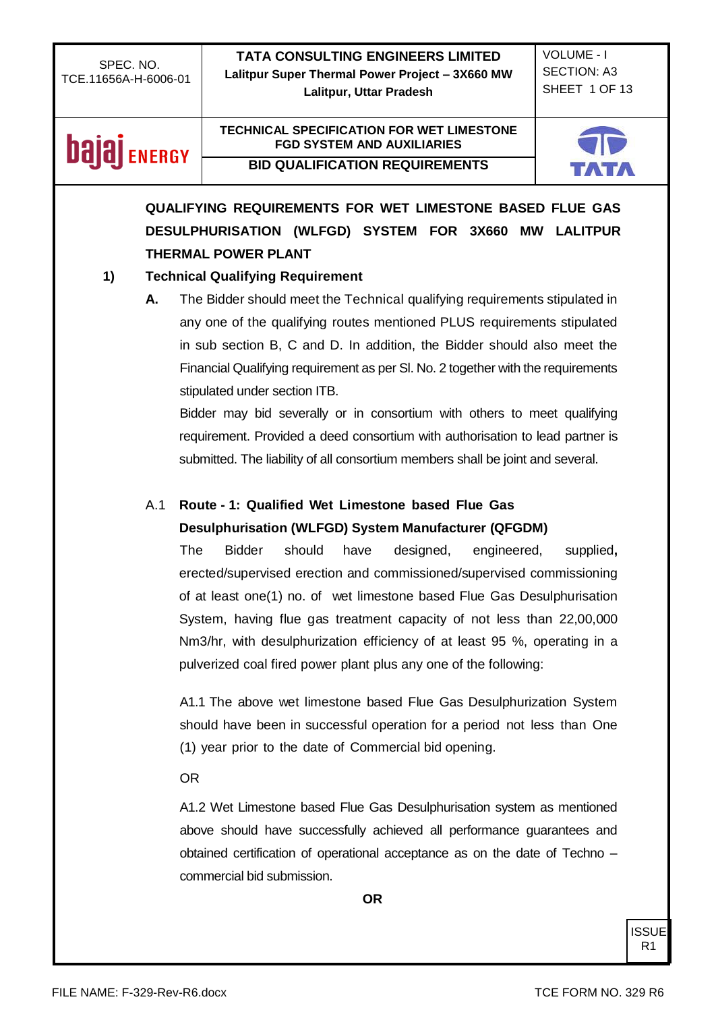**TATA CONSULTING ENGINEERS LIMITED Lalitpur Super Thermal Power Project – 3X660 MW Lalitpur, Uttar Pradesh**

VOLUME - I SECTION: A3 SHEET 1 OF 13

## **bajaj** ENERGY

#### **TECHNICAL SPECIFICATION FOR WET LIMESTONE FGD SYSTEM AND AUXILIARIES BID QUALIFICATION REQUIREMENTS**



## **QUALIFYING REQUIREMENTS FOR WET LIMESTONE BASED FLUE GAS DESULPHURISATION (WLFGD) SYSTEM FOR 3X660 MW LALITPUR THERMAL POWER PLANT**

### **1) Technical Qualifying Requirement**

**A.** The Bidder should meet the Technical qualifying requirements stipulated in any one of the qualifying routes mentioned PLUS requirements stipulated in sub section B, C and D. In addition, the Bidder should also meet the Financial Qualifying requirement as per Sl. No. 2 together with the requirements stipulated under section ITB.

Bidder may bid severally or in consortium with others to meet qualifying requirement. Provided a deed consortium with authorisation to lead partner is submitted. The liability of all consortium members shall be joint and several.

### A.1 **Route - 1: Qualified Wet Limestone based Flue Gas Desulphurisation (WLFGD) System Manufacturer (QFGDM)**

The Bidder should have designed, engineered, supplied**,**  erected/supervised erection and commissioned/supervised commissioning of at least one(1) no. of wet limestone based Flue Gas Desulphurisation System, having flue gas treatment capacity of not less than 22,00,000 Nm3/hr, with desulphurization efficiency of at least 95 %, operating in a pulverized coal fired power plant plus any one of the following:

A1.1 The above wet limestone based Flue Gas Desulphurization System should have been in successful operation for a period not less than One (1) year prior to the date of Commercial bid opening.

#### OR

A1.2 Wet Limestone based Flue Gas Desulphurisation system as mentioned above should have successfully achieved all performance guarantees and obtained certification of operational acceptance as on the date of Techno – commercial bid submission.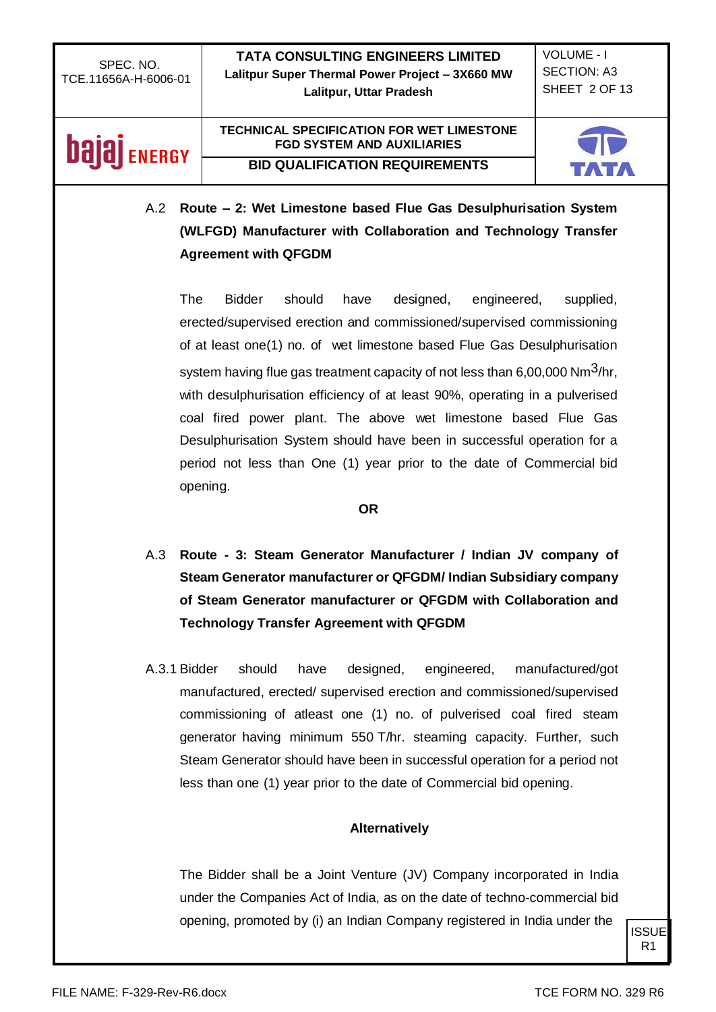**TATA CONSULTING ENGINEERS LIMITED Lalitpur Super Thermal Power Project – 3X660 MW Lalitpur, Uttar Pradesh**

VOLUME - I SECTION: A3 SHEET 2 OF 13

## **Dajaj** ENERGY

#### **TECHNICAL SPECIFICATION FOR WET LIMESTONE FGD SYSTEM AND AUXILIARIES BID QUALIFICATION REQUIREMENTS**



A.2 **Route – 2: Wet Limestone based Flue Gas Desulphurisation System (WLFGD) Manufacturer with Collaboration and Technology Transfer Agreement with QFGDM**

The Bidder should have designed, engineered, supplied, erected/supervised erection and commissioned/supervised commissioning of at least one(1) no. of wet limestone based Flue Gas Desulphurisation system having flue gas treatment capacity of not less than  $6,00,000$  Nm<sup>3</sup>/hr, with desulphurisation efficiency of at least 90%, operating in a pulverised coal fired power plant. The above wet limestone based Flue Gas Desulphurisation System should have been in successful operation for a period not less than One (1) year prior to the date of Commercial bid opening.

#### **OR**

- A.3 **Route - 3: Steam Generator Manufacturer / Indian JV company of Steam Generator manufacturer or QFGDM/ Indian Subsidiary company of Steam Generator manufacturer or QFGDM with Collaboration and Technology Transfer Agreement with QFGDM**
- A.3.1 Bidder should have designed, engineered, manufactured/got manufactured, erected/ supervised erection and commissioned/supervised commissioning of atleast one (1) no. of pulverised coal fired steam generator having minimum 550 T/hr. steaming capacity. Further, such Steam Generator should have been in successful operation for a period not less than one (1) year prior to the date of Commercial bid opening.

#### **Alternatively**

The Bidder shall be a Joint Venture (JV) Company incorporated in India under the Companies Act of India, as on the date of techno-commercial bid opening, promoted by (i) an Indian Company registered in India under the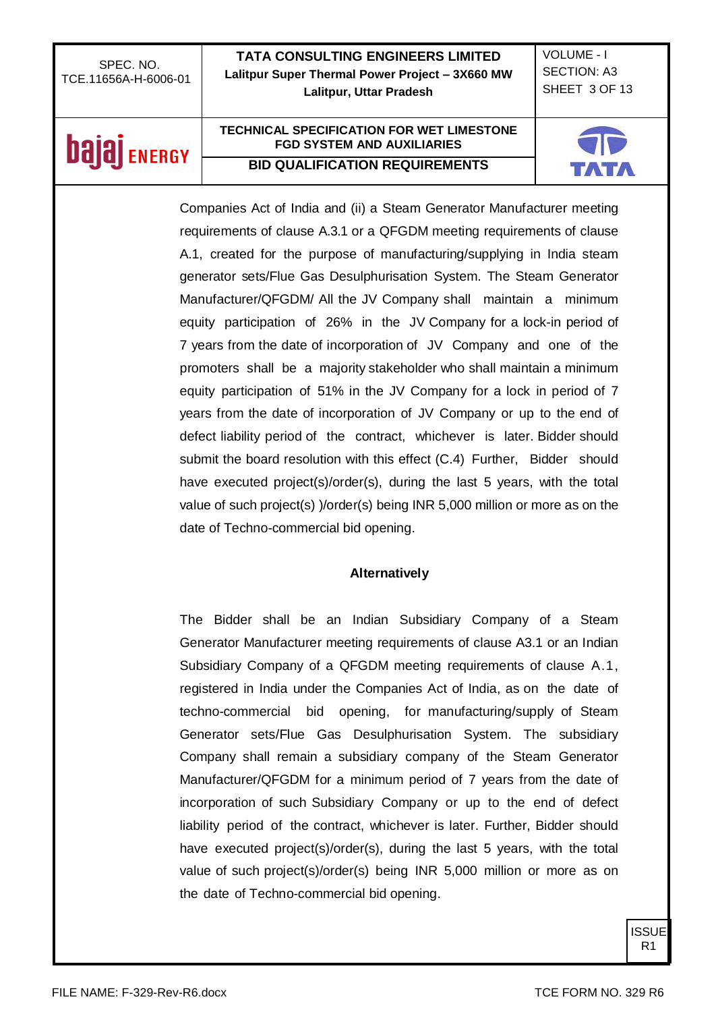**TATA CONSULTING ENGINEERS LIMITED Lalitpur Super Thermal Power Project – 3X660 MW Lalitpur, Uttar Pradesh**

VOLUME - I SECTION: A3 SHEET 3 OF 13

## **bajaj** ENERGY

#### **TECHNICAL SPECIFICATION FOR WET LIMESTONE FGD SYSTEM AND AUXILIARIES BID QUALIFICATION REQUIREMENTS**



Companies Act of India and (ii) a Steam Generator Manufacturer meeting requirements of clause A.3.1 or a QFGDM meeting requirements of clause A.1, created for the purpose of manufacturing/supplying in India steam generator sets/Flue Gas Desulphurisation System. The Steam Generator Manufacturer/QFGDM/ All the JV Company shall maintain a minimum equity participation of 26% in the JV Company for a lock-in period of 7 years from the date of incorporation of JV Company and one of the promoters shall be a majority stakeholder who shall maintain a minimum equity participation of 51% in the JV Company for a lock in period of 7 years from the date of incorporation of JV Company or up to the end of defect liability period of the contract, whichever is later. Bidder should submit the board resolution with this effect (C.4) Further, Bidder should have executed project(s)/order(s), during the last 5 years, with the total value of such project(s) )/order(s) being INR 5,000 million or more as on the date of Techno-commercial bid opening.

#### **Alternatively**

The Bidder shall be an Indian Subsidiary Company of a Steam Generator Manufacturer meeting requirements of clause A3.1 or an Indian Subsidiary Company of a QFGDM meeting requirements of clause A.1, registered in India under the Companies Act of India, as on the date of techno-commercial bid opening, for manufacturing/supply of Steam Generator sets/Flue Gas Desulphurisation System. The subsidiary Company shall remain a subsidiary company of the Steam Generator Manufacturer/QFGDM for a minimum period of 7 years from the date of incorporation of such Subsidiary Company or up to the end of defect liability period of the contract, whichever is later. Further, Bidder should have executed project(s)/order(s), during the last 5 years, with the total value of such project(s)/order(s) being INR 5,000 million or more as on the date of Techno-commercial bid opening.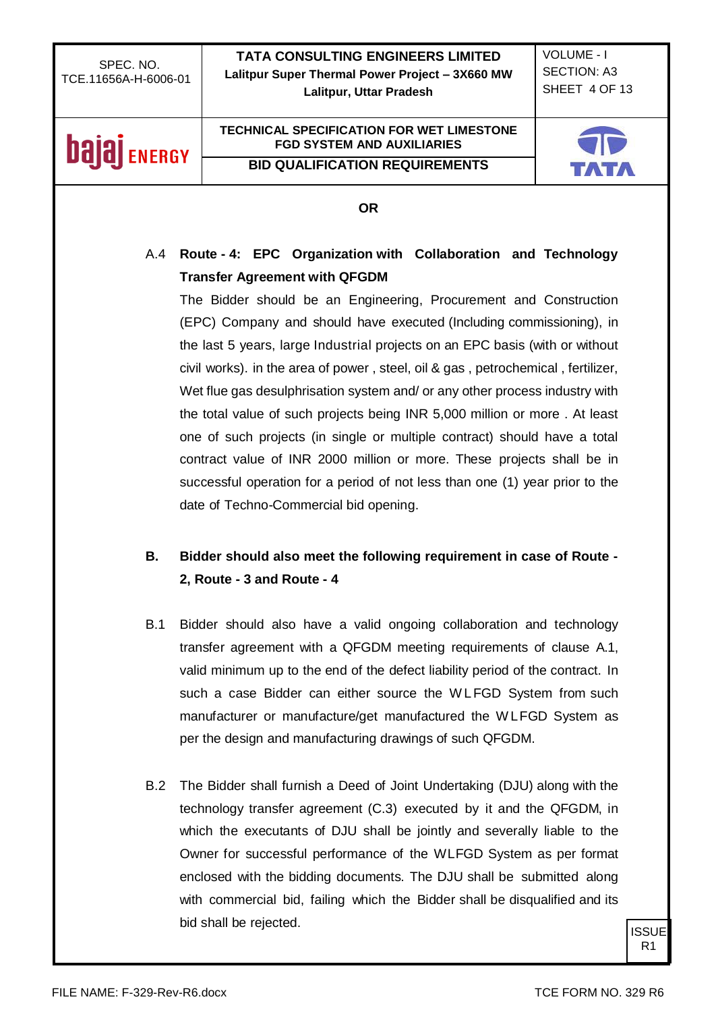VOLUME - I SECTION: A3 SHEET 4 OF 13

# **bajaj** ENERGY

## **TECHNICAL SPECIFICATION FOR WET LIMESTONE FGD SYSTEM AND AUXILIARIES**

**BID QUALIFICATION REQUIREMENTS**



#### **OR**

### A.4 **Route - 4: EPC Organization with Collaboration and Technology Transfer Agreement with QFGDM**

The Bidder should be an Engineering, Procurement and Construction (EPC) Company and should have executed (Including commissioning), in the last 5 years, large Industrial projects on an EPC basis (with or without civil works). in the area of power , steel, oil & gas , petrochemical , fertilizer, Wet flue gas desulphrisation system and/ or any other process industry with the total value of such projects being INR 5,000 million or more . At least one of such projects (in single or multiple contract) should have a total contract value of INR 2000 million or more. These projects shall be in successful operation for a period of not less than one (1) year prior to the date of Techno-Commercial bid opening.

## **B. Bidder should also meet the following requirement in case of Route - 2, Route - 3 and Route - 4**

- B.1 Bidder should also have a valid ongoing collaboration and technology transfer agreement with a QFGDM meeting requirements of clause A.1, valid minimum up to the end of the defect liability period of the contract. In such a case Bidder can either source the W LFGD System from such manufacturer or manufacture/get manufactured the W LFGD System as per the design and manufacturing drawings of such QFGDM.
- B.2 The Bidder shall furnish a Deed of Joint Undertaking (DJU) along with the technology transfer agreement (C.3) executed by it and the QFGDM, in which the executants of DJU shall be jointly and severally liable to the Owner for successful performance of the WLFGD System as per format enclosed with the bidding documents. The DJU shall be submitted along with commercial bid, failing which the Bidder shall be disqualified and its bid shall be rejected.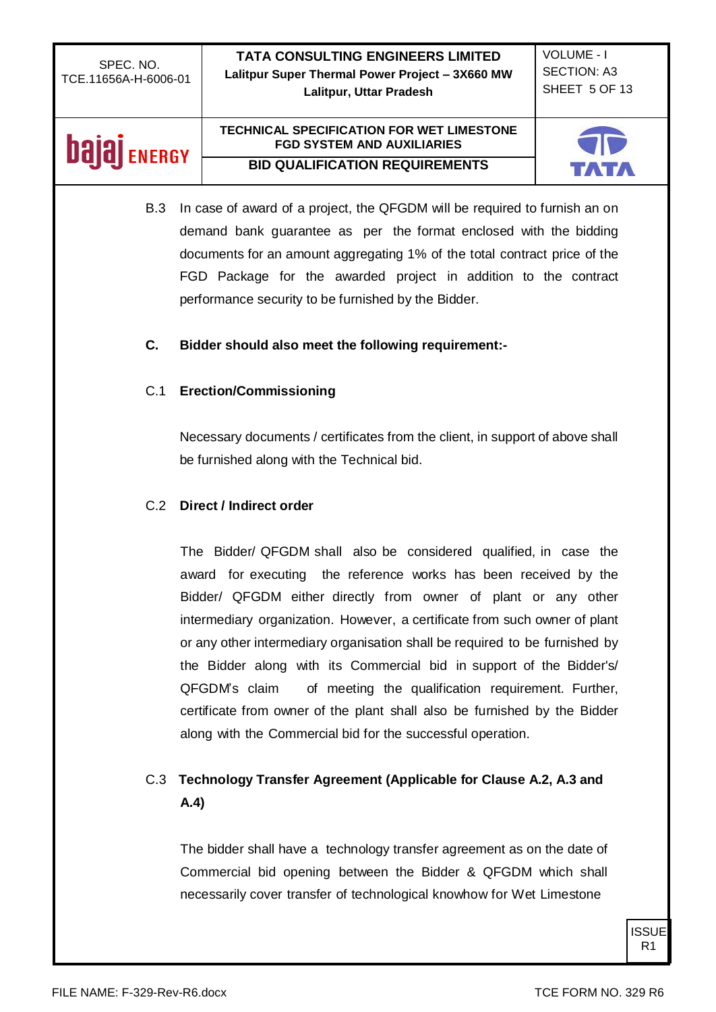| SPEC. NO.            |  |
|----------------------|--|
| TCE.11656A-H-6006-01 |  |

VOLUME - I SECTION: A3 SHEET 5 OF 13

## **bajaj** ENERGY

#### **TECHNICAL SPECIFICATION FOR WET LIMESTONE FGD SYSTEM AND AUXILIARIES BID QUALIFICATION REQUIREMENTS**



B.3 In case of award of a project, the QFGDM will be required to furnish an on demand bank guarantee as per the format enclosed with the bidding documents for an amount aggregating 1% of the total contract price of the FGD Package for the awarded project in addition to the contract performance security to be furnished by the Bidder.

#### **C. Bidder should also meet the following requirement:-**

#### C.1 **Erection/Commissioning**

Necessary documents / certificates from the client, in support of above shall be furnished along with the Technical bid.

#### C.2 **Direct / Indirect order**

The Bidder/ QFGDM shall also be considered qualified, in case the award for executing the reference works has been received by the Bidder/ QFGDM either directly from owner of plant or any other intermediary organization. However, a certificate from such owner of plant or any other intermediary organisation shall be required to be furnished by the Bidder along with its Commercial bid in support of the Bidder's/ QFGDM's claim of meeting the qualification requirement. Further, certificate from owner of the plant shall also be furnished by the Bidder along with the Commercial bid for the successful operation.

## C.3 **Technology Transfer Agreement (Applicable for Clause A.2, A.3 and A.4)**

The bidder shall have a technology transfer agreement as on the date of Commercial bid opening between the Bidder & QFGDM which shall necessarily cover transfer of technological knowhow for Wet Limestone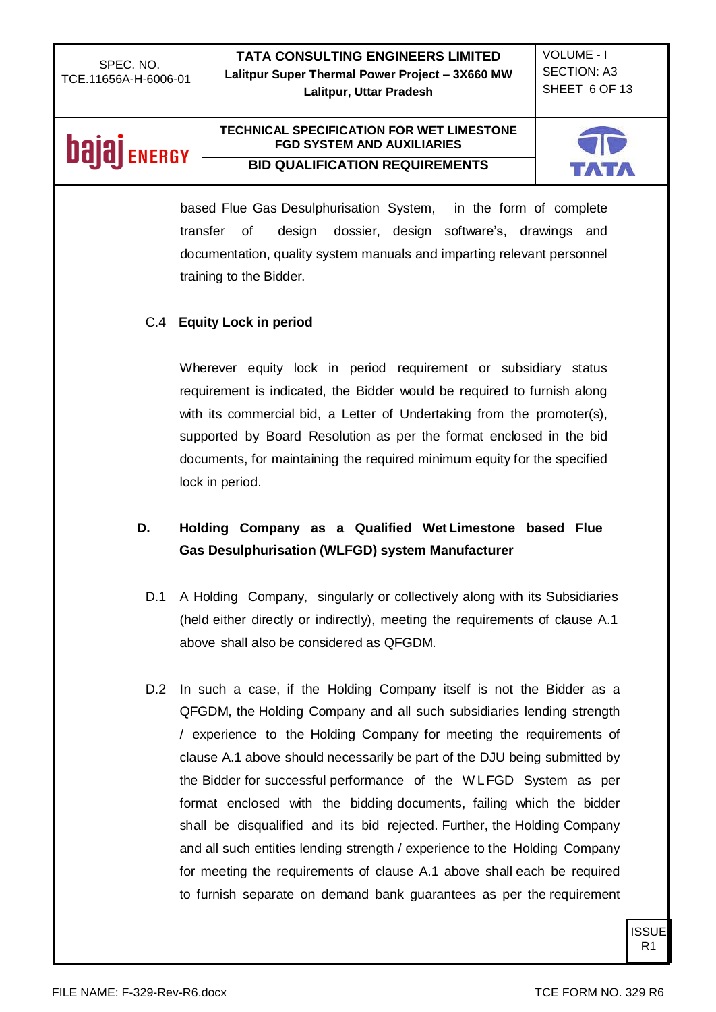**TATA CONSULTING ENGINEERS LIMITED Lalitpur Super Thermal Power Project – 3X660 MW Lalitpur, Uttar Pradesh**

VOLUME - I SECTION: A3 SHEET 6 OF 13

## **bajaj** ENERGY

#### **TECHNICAL SPECIFICATION FOR WET LIMESTONE FGD SYSTEM AND AUXILIARIES BID QUALIFICATION REQUIREMENTS**



based Flue Gas Desulphurisation System, in the form of complete transfer of design dossier, design software's, drawings and documentation, quality system manuals and imparting relevant personnel training to the Bidder.

#### C.4 **Equity Lock in period**

Wherever equity lock in period requirement or subsidiary status requirement is indicated, the Bidder would be required to furnish along with its commercial bid, a Letter of Undertaking from the promoter(s), supported by Board Resolution as per the format enclosed in the bid documents, for maintaining the required minimum equity for the specified lock in period.

### **D. Holding Company as a Qualified Wet Limestone based Flue Gas Desulphurisation (WLFGD) system Manufacturer**

- D.1 A Holding Company, singularly or collectively along with its Subsidiaries (held either directly or indirectly), meeting the requirements of clause A.1 above shall also be considered as QFGDM.
- D.2 In such a case, if the Holding Company itself is not the Bidder as a QFGDM, the Holding Company and all such subsidiaries lending strength / experience to the Holding Company for meeting the requirements of clause A.1 above should necessarily be part of the DJU being submitted by the Bidder for successful performance of the W LFGD System as per format enclosed with the bidding documents, failing which the bidder shall be disqualified and its bid rejected. Further, the Holding Company and all such entities lending strength / experience to the Holding Company for meeting the requirements of clause A.1 above shall each be required to furnish separate on demand bank guarantees as per the requirement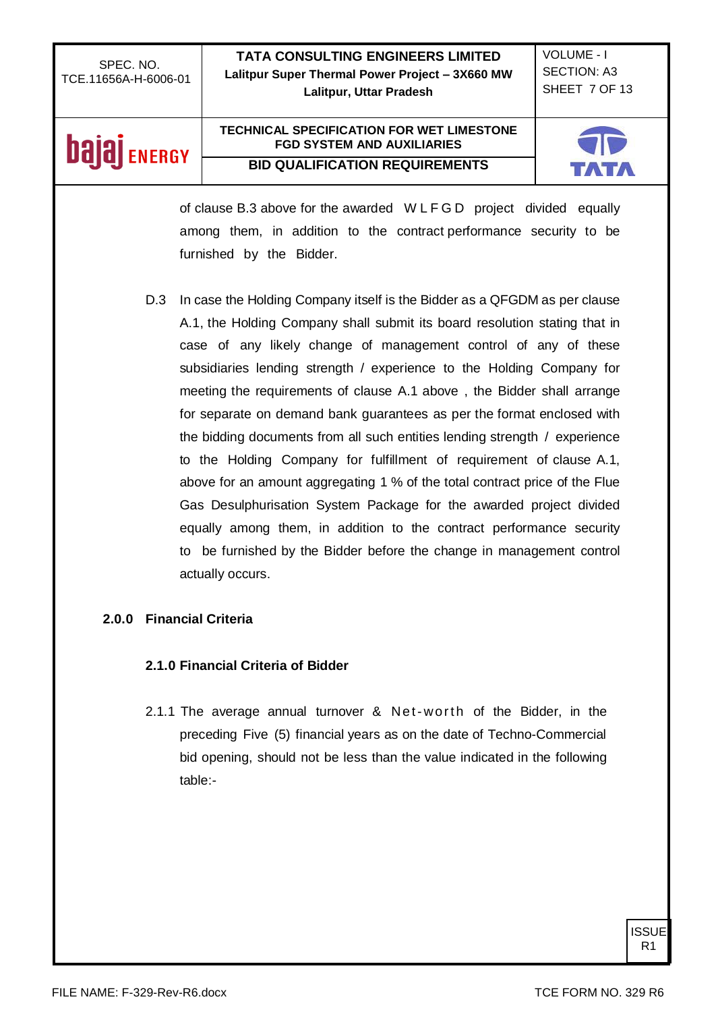**TATA CONSULTING ENGINEERS LIMITED Lalitpur Super Thermal Power Project – 3X660 MW Lalitpur, Uttar Pradesh**

VOLUME - I SECTION: A3 SHEET 7 OF 13

## **bajaj** ENERGY

#### **TECHNICAL SPECIFICATION FOR WET LIMESTONE FGD SYSTEM AND AUXILIARIES BID QUALIFICATION REQUIREMENTS**



of clause B.3 above for the awarded W L F G D project divided equally among them, in addition to the contract performance security to be furnished by the Bidder.

D.3 In case the Holding Company itself is the Bidder as a QFGDM as per clause A.1, the Holding Company shall submit its board resolution stating that in case of any likely change of management control of any of these subsidiaries lending strength / experience to the Holding Company for meeting the requirements of clause A.1 above , the Bidder shall arrange for separate on demand bank guarantees as per the format enclosed with the bidding documents from all such entities lending strength / experience to the Holding Company for fulfillment of requirement of clause A.1, above for an amount aggregating 1 % of the total contract price of the Flue Gas Desulphurisation System Package for the awarded project divided equally among them, in addition to the contract performance security to be furnished by the Bidder before the change in management control actually occurs.

#### **2.0.0 Financial Criteria**

#### **2.1.0 Financial Criteria of Bidder**

2.1.1 The average annual turnover & Net-worth of the Bidder, in the preceding Five (5) financial years as on the date of Techno-Commercial bid opening, should not be less than the value indicated in the following table:-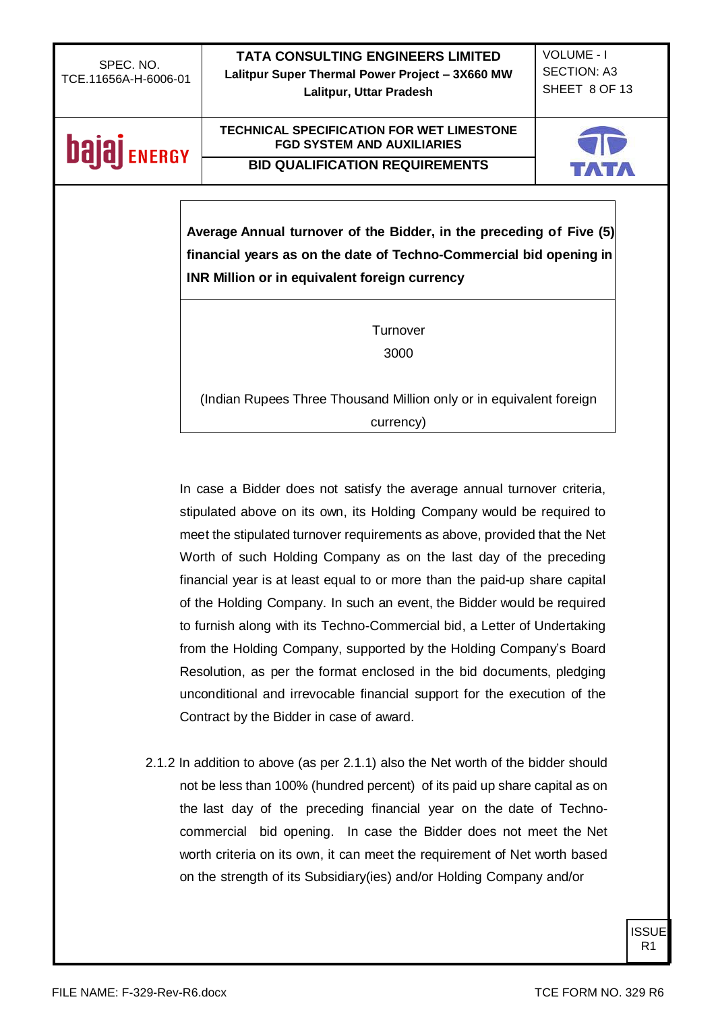| SPEC, NO.            |
|----------------------|
| TCE.11656A-H-6006-01 |

VOLUME - I SECTION: A3 SHEET 8 OF 13

# **bajaj** ENERGY

## **TECHNICAL SPECIFICATION FOR WET LIMESTONE FGD SYSTEM AND AUXILIARIES**

**BID QUALIFICATION REQUIREMENTS**



**Average Annual turnover of the Bidder, in the preceding of Five (5) financial years as on the date of Techno-Commercial bid opening in INR Million or in equivalent foreign currency**

> **Turnover** 3000

(Indian Rupees Three Thousand Million only or in equivalent foreign currency)

In case a Bidder does not satisfy the average annual turnover criteria, stipulated above on its own, its Holding Company would be required to meet the stipulated turnover requirements as above, provided that the Net Worth of such Holding Company as on the last day of the preceding financial year is at least equal to or more than the paid-up share capital of the Holding Company. In such an event, the Bidder would be required to furnish along with its Techno-Commercial bid, a Letter of Undertaking from the Holding Company, supported by the Holding Company's Board Resolution, as per the format enclosed in the bid documents, pledging unconditional and irrevocable financial support for the execution of the Contract by the Bidder in case of award.

2.1.2 In addition to above (as per 2.1.1) also the Net worth of the bidder should not be less than 100% (hundred percent) of its paid up share capital as on the last day of the preceding financial year on the date of Technocommercial bid opening. In case the Bidder does not meet the Net worth criteria on its own, it can meet the requirement of Net worth based on the strength of its Subsidiary(ies) and/or Holding Company and/or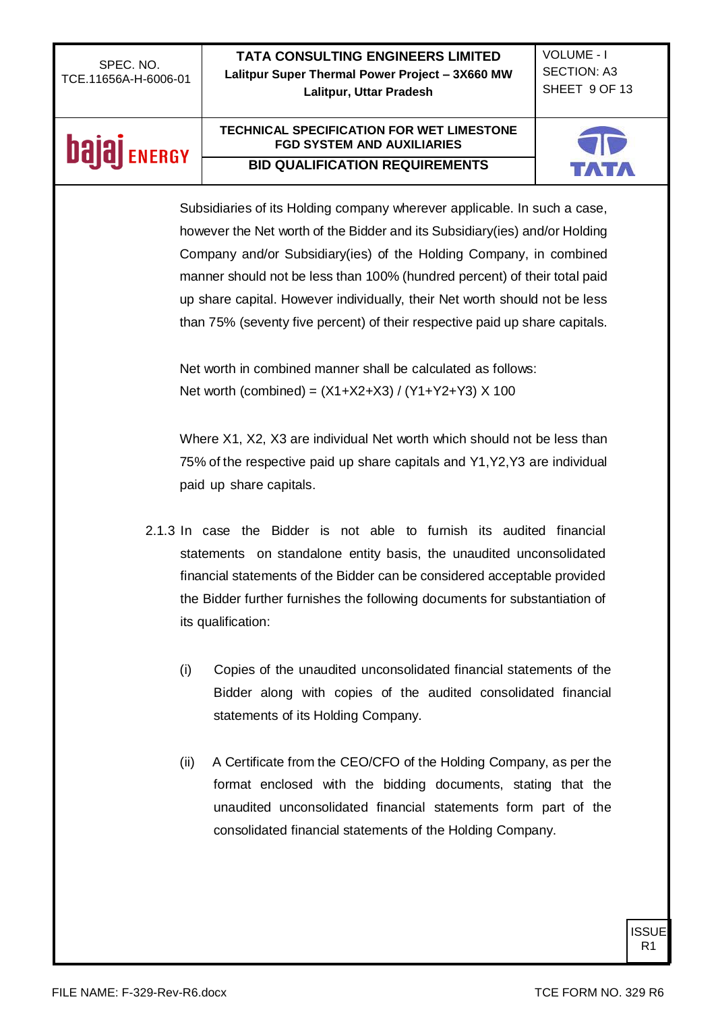| SPEC. NO.<br>TCE.11656A-H-6006-01 | <b>TATA CONSULTING ENGINEERS LIMITED</b><br>Lalitpur Super Thermal Power Project - 3X660 MW           | <b>VOLUME - I</b><br><b>SECTION: A3</b><br>SHEET 9 OF 13 |  |
|-----------------------------------|-------------------------------------------------------------------------------------------------------|----------------------------------------------------------|--|
|                                   | Lalitpur, Uttar Pradesh                                                                               |                                                          |  |
| bala<br><b>ENERGY</b>             | <b>TECHNICAL SPECIFICATION FOR WET LIMESTONE</b><br><b>FGD SYSTEM AND AUXILIARIES</b>                 |                                                          |  |
|                                   | <b>BID QUALIFICATION REQUIREMENTS</b>                                                                 |                                                          |  |
|                                   | Subsidiaries of its Holding company wherever applicable. In such a case,                              |                                                          |  |
|                                   | however the Net worth of the Bidder and its Subsidiary(ies) and/or Holding                            |                                                          |  |
|                                   | Company and/or Subsidiary(ies) of the Holding Company, in combined                                    |                                                          |  |
|                                   |                                                                                                       |                                                          |  |
|                                   | manner should not be less than 100% (hundred percent) of their total paid                             |                                                          |  |
|                                   | up share capital. However individually, their Net worth should not be less                            |                                                          |  |
|                                   | than 75% (seventy five percent) of their respective paid up share capitals.                           |                                                          |  |
|                                   | Net worth in combined manner shall be calculated as follows:                                          |                                                          |  |
|                                   | Net worth (combined) = $(X1+X2+X3) / (Y1+Y2+Y3) X 100$                                                |                                                          |  |
|                                   |                                                                                                       |                                                          |  |
|                                   | Where X1, X2, X3 are individual Net worth which should not be less than                               |                                                          |  |
|                                   |                                                                                                       |                                                          |  |
|                                   | 75% of the respective paid up share capitals and Y1, Y2, Y3 are individual<br>paid up share capitals. |                                                          |  |
|                                   |                                                                                                       |                                                          |  |
|                                   | 2.1.3 In case the Bidder is not able to furnish its audited financial                                 |                                                          |  |
|                                   | statements on standalone entity basis, the unaudited unconsolidated                                   |                                                          |  |
|                                   | financial statements of the Bidder can be considered acceptable provided                              |                                                          |  |
|                                   | the Bidder further furnishes the following documents for substantiation of                            |                                                          |  |
| its qualification:                |                                                                                                       |                                                          |  |
|                                   |                                                                                                       |                                                          |  |
| (i)                               | Copies of the unaudited unconsolidated financial statements of the                                    |                                                          |  |
|                                   | Bidder along with copies of the audited consolidated financial                                        |                                                          |  |
|                                   | statements of its Holding Company.                                                                    |                                                          |  |
|                                   |                                                                                                       |                                                          |  |
| (ii)                              | A Certificate from the CEO/CFO of the Holding Company, as per the                                     |                                                          |  |
|                                   | format enclosed with the bidding documents, stating that the                                          |                                                          |  |
|                                   | unaudited unconsolidated financial statements form part of the                                        |                                                          |  |
|                                   | consolidated financial statements of the Holding Company.                                             |                                                          |  |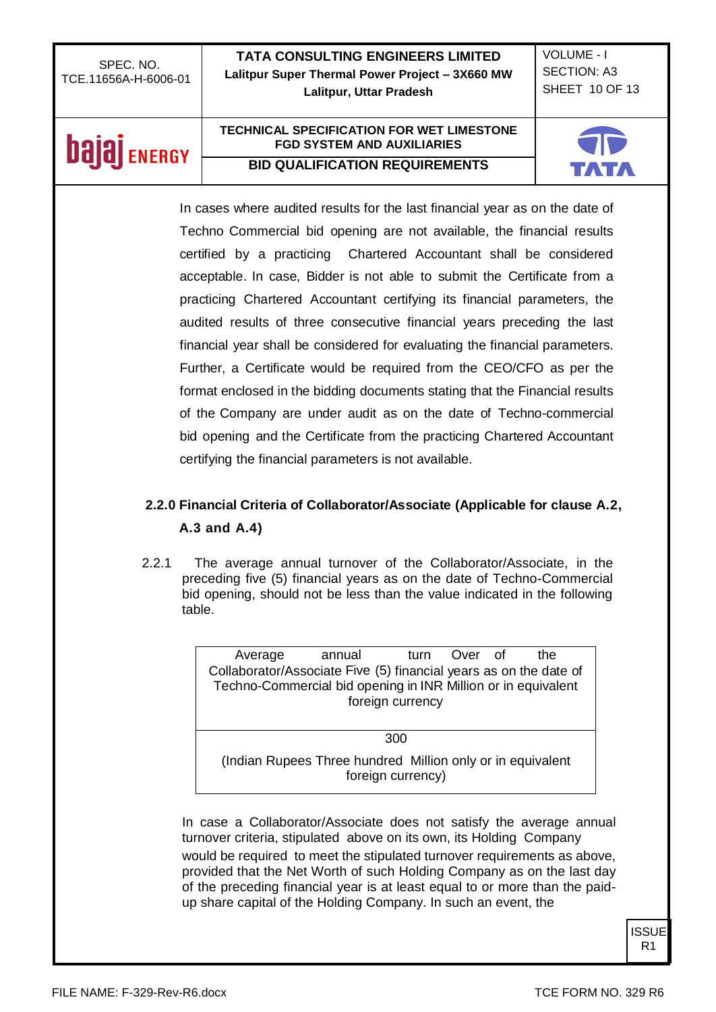| SPEC. NO.            |
|----------------------|
| TCE.11656A-H-6006-01 |

VOLUME - I SECTION: A3 SHEET 10 OF 13

# **bajaj** ENERGY

#### **TECHNICAL SPECIFICATION FOR WET LIMESTONE FGD SYSTEM AND AUXILIARIES BID QUALIFICATION REQUIREMENTS**



In cases where audited results for the last financial year as on the date of Techno Commercial bid opening are not available, the financial results certified by a practicing Chartered Accountant shall be considered acceptable. In case, Bidder is not able to submit the Certificate from a practicing Chartered Accountant certifying its financial parameters, the audited results of three consecutive financial years preceding the last financial year shall be considered for evaluating the financial parameters. Further, a Certificate would be required from the CEO/CFO as per the format enclosed in the bidding documents stating that the Financial results of the Company are under audit as on the date of Techno-commercial bid opening and the Certificate from the practicing Chartered Accountant certifying the financial parameters is not available.

### **2.2.0 Financial Criteria of Collaborator/Associate (Applicable for clause A.2, A.3 and A.4)**

2.2.1 The average annual turnover of the Collaborator/Associate, in the preceding five (5) financial years as on the date of Techno-Commercial bid opening, should not be less than the value indicated in the following table.

| Average                                                                                                                            | annual                                                     |                   | turn Over of | the |
|------------------------------------------------------------------------------------------------------------------------------------|------------------------------------------------------------|-------------------|--------------|-----|
| Collaborator/Associate Five (5) financial years as on the date of<br>Techno-Commercial bid opening in INR Million or in equivalent |                                                            | foreign currency  |              |     |
|                                                                                                                                    |                                                            | 300               |              |     |
|                                                                                                                                    |                                                            |                   |              |     |
|                                                                                                                                    | (Indian Rupees Three hundred Million only or in equivalent | foreign currency) |              |     |

In case a Collaborator/Associate does not satisfy the average annual turnover criteria, stipulated above on its own, its Holding Company would be required to meet the stipulated turnover requirements as above, provided that the Net Worth of such Holding Company as on the last day of the preceding financial year is at least equal to or more than the paidup share capital of the Holding Company. In such an event, the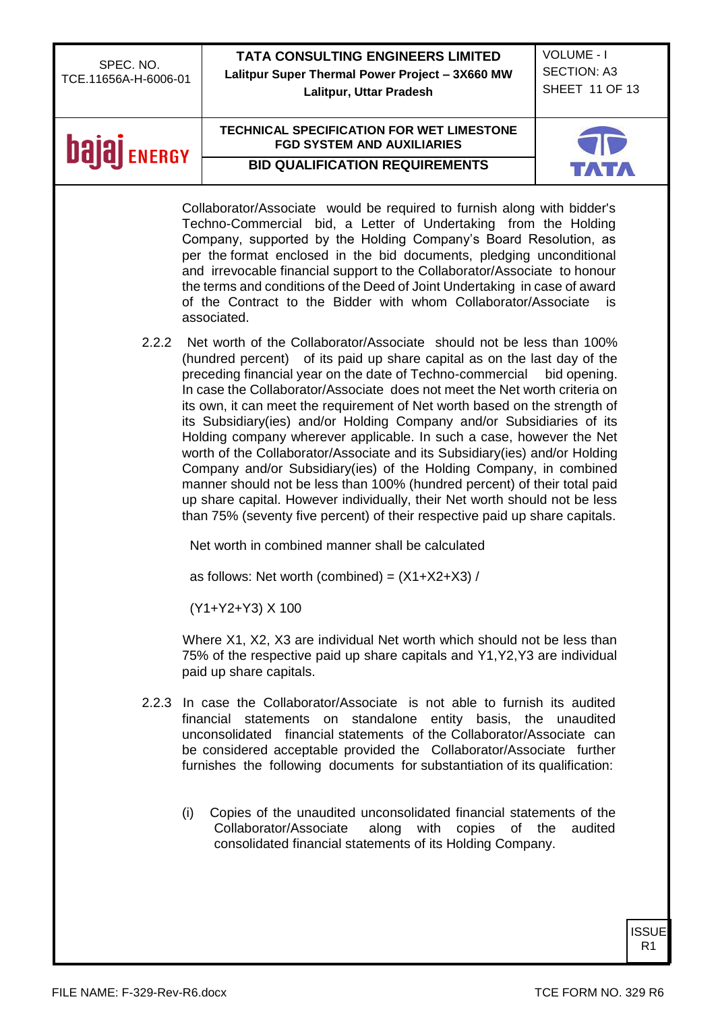|                                   | <b>TATA CONSULTING ENGINEERS LIMITED</b>                                                                                                                                                                                                                                                                                                                                                                                                                                                                                                                                                                                                                                                                                                                                                                                                                                                                                 | <b>VOLUME - I</b>  |
|-----------------------------------|--------------------------------------------------------------------------------------------------------------------------------------------------------------------------------------------------------------------------------------------------------------------------------------------------------------------------------------------------------------------------------------------------------------------------------------------------------------------------------------------------------------------------------------------------------------------------------------------------------------------------------------------------------------------------------------------------------------------------------------------------------------------------------------------------------------------------------------------------------------------------------------------------------------------------|--------------------|
| SPEC. NO.<br>TCE.11656A-H-6006-01 | Lalitpur Super Thermal Power Project - 3X660 MW                                                                                                                                                                                                                                                                                                                                                                                                                                                                                                                                                                                                                                                                                                                                                                                                                                                                          | <b>SECTION: A3</b> |
|                                   | Lalitpur, Uttar Pradesh                                                                                                                                                                                                                                                                                                                                                                                                                                                                                                                                                                                                                                                                                                                                                                                                                                                                                                  | SHEET 11 OF 13     |
|                                   |                                                                                                                                                                                                                                                                                                                                                                                                                                                                                                                                                                                                                                                                                                                                                                                                                                                                                                                          |                    |
| <b>ENERGY</b>                     | <b>TECHNICAL SPECIFICATION FOR WET LIMESTONE</b><br><b>FGD SYSTEM AND AUXILIARIES</b>                                                                                                                                                                                                                                                                                                                                                                                                                                                                                                                                                                                                                                                                                                                                                                                                                                    |                    |
|                                   | <b>BID QUALIFICATION REQUIREMENTS</b>                                                                                                                                                                                                                                                                                                                                                                                                                                                                                                                                                                                                                                                                                                                                                                                                                                                                                    |                    |
|                                   | Collaborator/Associate would be required to furnish along with bidder's<br>Techno-Commercial bid, a Letter of Undertaking from the Holding<br>Company, supported by the Holding Company's Board Resolution, as<br>per the format enclosed in the bid documents, pledging unconditional<br>and irrevocable financial support to the Collaborator/Associate to honour<br>the terms and conditions of the Deed of Joint Undertaking in case of award<br>of the Contract to the Bidder with whom Collaborator/Associate<br>associated.                                                                                                                                                                                                                                                                                                                                                                                       | is                 |
| 2.2.2                             | Net worth of the Collaborator/Associate should not be less than 100%<br>(hundred percent) of its paid up share capital as on the last day of the<br>preceding financial year on the date of Techno-commercial<br>In case the Collaborator/Associate does not meet the Net worth criteria on<br>its own, it can meet the requirement of Net worth based on the strength of<br>its Subsidiary(ies) and/or Holding Company and/or Subsidiaries of its<br>Holding company wherever applicable. In such a case, however the Net<br>worth of the Collaborator/Associate and its Subsidiary(ies) and/or Holding<br>Company and/or Subsidiary(ies) of the Holding Company, in combined<br>manner should not be less than 100% (hundred percent) of their total paid<br>up share capital. However individually, their Net worth should not be less<br>than 75% (seventy five percent) of their respective paid up share capitals. | bid opening.       |
|                                   | Net worth in combined manner shall be calculated<br>as follows: Net worth (combined) = $(X1+X2+X3)$ /                                                                                                                                                                                                                                                                                                                                                                                                                                                                                                                                                                                                                                                                                                                                                                                                                    |                    |
|                                   | (Y1+Y2+Y3) X 100                                                                                                                                                                                                                                                                                                                                                                                                                                                                                                                                                                                                                                                                                                                                                                                                                                                                                                         |                    |
|                                   | Where X1, X2, X3 are individual Net worth which should not be less than<br>75% of the respective paid up share capitals and Y1, Y2, Y3 are individual<br>paid up share capitals.                                                                                                                                                                                                                                                                                                                                                                                                                                                                                                                                                                                                                                                                                                                                         |                    |
| 2.2.3                             | In case the Collaborator/Associate is not able to furnish its audited<br>financial statements on standalone entity basis, the unaudited<br>unconsolidated financial statements of the Collaborator/Associate can<br>be considered acceptable provided the Collaborator/Associate further<br>furnishes the following documents for substantiation of its qualification:                                                                                                                                                                                                                                                                                                                                                                                                                                                                                                                                                   |                    |
|                                   | Copies of the unaudited unconsolidated financial statements of the<br>(i)<br>Collaborator/Associate<br>along<br>with<br>copies<br>of the<br>consolidated financial statements of its Holding Company.                                                                                                                                                                                                                                                                                                                                                                                                                                                                                                                                                                                                                                                                                                                    | audited            |
|                                   |                                                                                                                                                                                                                                                                                                                                                                                                                                                                                                                                                                                                                                                                                                                                                                                                                                                                                                                          |                    |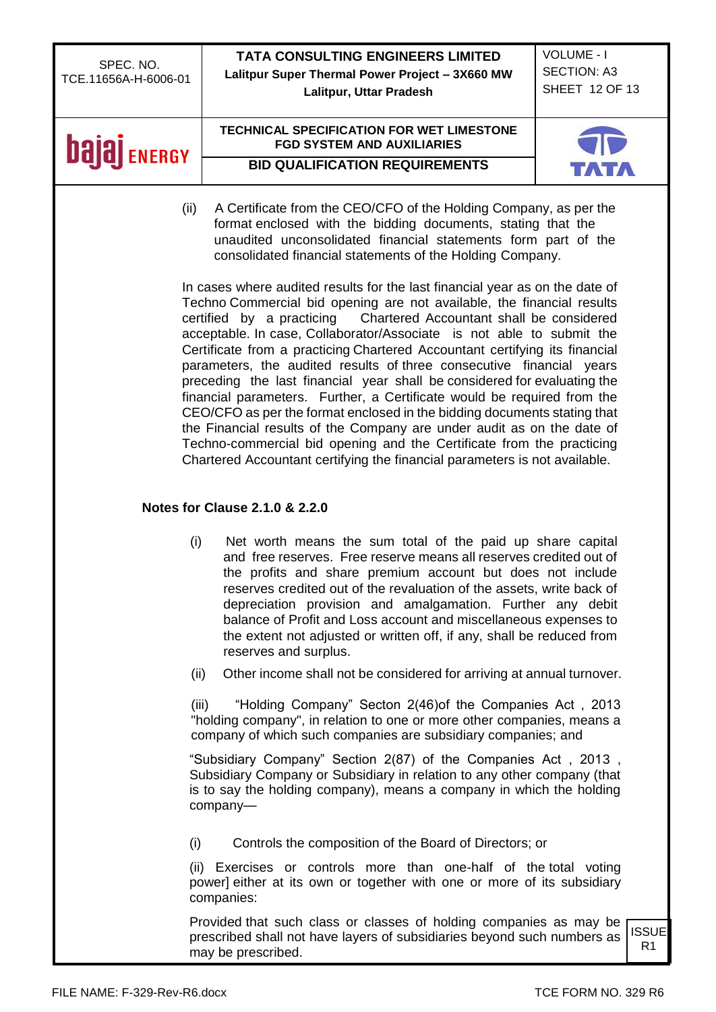| SPEC. NO.                                                                                                                                                                                                                     | <b>TATA CONSULTING ENGINEERS LIMITED</b>                                                                                                                                                                                                                                                                                                                                                                                                                                                                                                                                                                                                                                                                                                                                                                                                                                                                                            | <b>VOLUME - I</b>  |                    |
|-------------------------------------------------------------------------------------------------------------------------------------------------------------------------------------------------------------------------------|-------------------------------------------------------------------------------------------------------------------------------------------------------------------------------------------------------------------------------------------------------------------------------------------------------------------------------------------------------------------------------------------------------------------------------------------------------------------------------------------------------------------------------------------------------------------------------------------------------------------------------------------------------------------------------------------------------------------------------------------------------------------------------------------------------------------------------------------------------------------------------------------------------------------------------------|--------------------|--------------------|
| TCE.11656A-H-6006-01                                                                                                                                                                                                          | Lalitpur Super Thermal Power Project - 3X660 MW                                                                                                                                                                                                                                                                                                                                                                                                                                                                                                                                                                                                                                                                                                                                                                                                                                                                                     | <b>SECTION: A3</b> |                    |
|                                                                                                                                                                                                                               | Lalitpur, Uttar Pradesh                                                                                                                                                                                                                                                                                                                                                                                                                                                                                                                                                                                                                                                                                                                                                                                                                                                                                                             | SHEET 12 OF 13     |                    |
| <b>bala</b><br><b>ENERGY</b>                                                                                                                                                                                                  | <b>TECHNICAL SPECIFICATION FOR WET LIMESTONE</b><br><b>FGD SYSTEM AND AUXILIARIES</b>                                                                                                                                                                                                                                                                                                                                                                                                                                                                                                                                                                                                                                                                                                                                                                                                                                               |                    |                    |
|                                                                                                                                                                                                                               | <b>BID QUALIFICATION REQUIREMENTS</b>                                                                                                                                                                                                                                                                                                                                                                                                                                                                                                                                                                                                                                                                                                                                                                                                                                                                                               |                    |                    |
| (ii)                                                                                                                                                                                                                          | A Certificate from the CEO/CFO of the Holding Company, as per the<br>format enclosed with the bidding documents, stating that the<br>unaudited unconsolidated financial statements form part of the<br>consolidated financial statements of the Holding Company.                                                                                                                                                                                                                                                                                                                                                                                                                                                                                                                                                                                                                                                                    |                    |                    |
|                                                                                                                                                                                                                               | In cases where audited results for the last financial year as on the date of<br>Techno Commercial bid opening are not available, the financial results<br>certified by a practicing<br>Chartered Accountant shall be considered<br>acceptable. In case, Collaborator/Associate is not able to submit the<br>Certificate from a practicing Chartered Accountant certifying its financial<br>parameters, the audited results of three consecutive financial years<br>preceding the last financial year shall be considered for evaluating the<br>financial parameters. Further, a Certificate would be required from the<br>CEO/CFO as per the format enclosed in the bidding documents stating that<br>the Financial results of the Company are under audit as on the date of<br>Techno-commercial bid opening and the Certificate from the practicing<br>Chartered Accountant certifying the financial parameters is not available. |                    |                    |
|                                                                                                                                                                                                                               | <b>Notes for Clause 2.1.0 &amp; 2.2.0</b>                                                                                                                                                                                                                                                                                                                                                                                                                                                                                                                                                                                                                                                                                                                                                                                                                                                                                           |                    |                    |
| (i)                                                                                                                                                                                                                           | Net worth means the sum total of the paid up share capital<br>and free reserves. Free reserve means all reserves credited out of<br>the profits and share premium account but does not include<br>reserves credited out of the revaluation of the assets, write back of<br>depreciation provision and amalgamation. Further any debit<br>balance of Profit and Loss account and miscellaneous expenses to<br>the extent not adjusted or written off, if any, shall be reduced from<br>reserves and surplus.                                                                                                                                                                                                                                                                                                                                                                                                                         |                    |                    |
| (ii)                                                                                                                                                                                                                          | Other income shall not be considered for arriving at annual turnover.                                                                                                                                                                                                                                                                                                                                                                                                                                                                                                                                                                                                                                                                                                                                                                                                                                                               |                    |                    |
|                                                                                                                                                                                                                               | "Holding Company" Secton 2(46) of the Companies Act, 2013<br>(iii)<br>"holding company", in relation to one or more other companies, means a<br>company of which such companies are subsidiary companies; and                                                                                                                                                                                                                                                                                                                                                                                                                                                                                                                                                                                                                                                                                                                       |                    |                    |
| "Subsidiary Company" Section 2(87) of the Companies Act, 2013,<br>Subsidiary Company or Subsidiary in relation to any other company (that<br>is to say the holding company), means a company in which the holding<br>company- |                                                                                                                                                                                                                                                                                                                                                                                                                                                                                                                                                                                                                                                                                                                                                                                                                                                                                                                                     |                    |                    |
| (i)                                                                                                                                                                                                                           | Controls the composition of the Board of Directors; or                                                                                                                                                                                                                                                                                                                                                                                                                                                                                                                                                                                                                                                                                                                                                                                                                                                                              |                    |                    |
| (ii) Exercises or controls more than one-half of the total voting<br>power] either at its own or together with one or more of its subsidiary<br>companies:                                                                    |                                                                                                                                                                                                                                                                                                                                                                                                                                                                                                                                                                                                                                                                                                                                                                                                                                                                                                                                     |                    |                    |
|                                                                                                                                                                                                                               | Provided that such class or classes of holding companies as may be<br>prescribed shall not have layers of subsidiaries beyond such numbers as<br>may be prescribed.                                                                                                                                                                                                                                                                                                                                                                                                                                                                                                                                                                                                                                                                                                                                                                 |                    | <b>ISSUE</b><br>R1 |